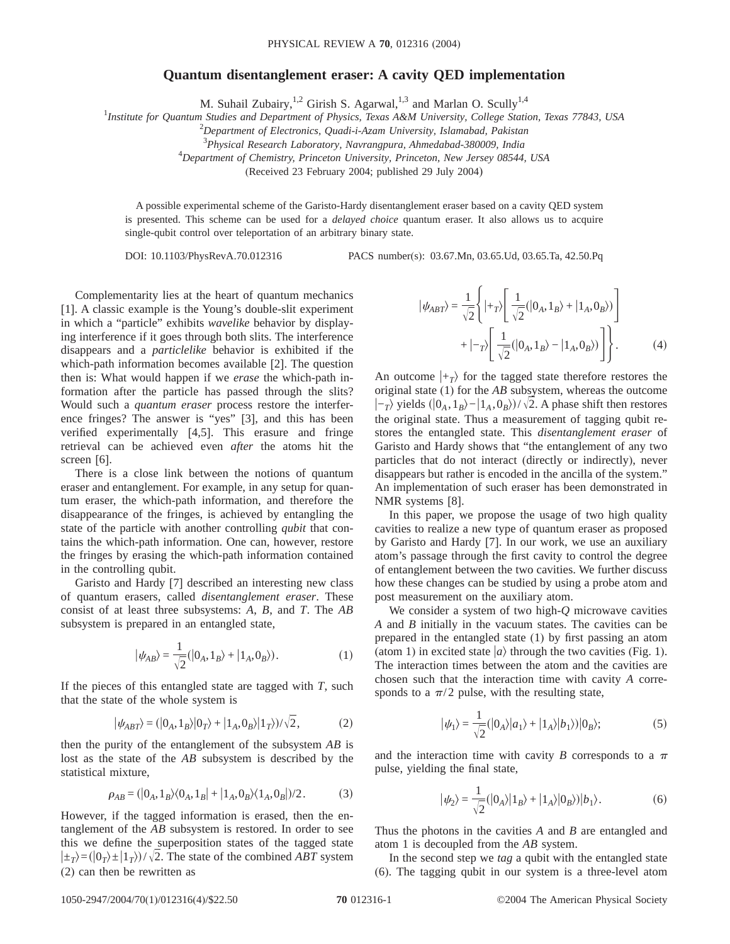## **Quantum disentanglement eraser: A cavity QED implementation**

M. Suhail Zubairy,<sup>1,2</sup> Girish S. Agarwal,<sup>1,3</sup> and Marlan O. Scully<sup>1,4</sup>

1 *Institute for Quantum Studies and Department of Physics, Texas A&M University, College Station, Texas 77843, USA*

2 *Department of Electronics, Quadi-i-Azam University, Islamabad, Pakistan*

3 *Physical Research Laboratory, Navrangpura, Ahmedabad-380009, India*

4 *Department of Chemistry, Princeton University, Princeton, New Jersey 08544, USA*

(Received 23 February 2004; published 29 July 2004)

A possible experimental scheme of the Garisto-Hardy disentanglement eraser based on a cavity QED system is presented. This scheme can be used for a *delayed choice* quantum eraser. It also allows us to acquire single-qubit control over teleportation of an arbitrary binary state.

DOI: 10.1103/PhysRevA.70.012316 PACS number(s): 03.67.Mn, 03.65.Ud, 03.65.Ta, 42.50.Pq

Complementarity lies at the heart of quantum mechanics [1]. A classic example is the Young's double-slit experiment in which a "particle" exhibits *wavelike* behavior by displaying interference if it goes through both slits. The interference disappears and a *particlelike* behavior is exhibited if the which-path information becomes available [2]. The question then is: What would happen if we *erase* the which-path information after the particle has passed through the slits? Would such a *quantum eraser* process restore the interference fringes? The answer is "yes" [3], and this has been verified experimentally [4,5]. This erasure and fringe retrieval can be achieved even *after* the atoms hit the screen [6].

There is a close link between the notions of quantum eraser and entanglement. For example, in any setup for quantum eraser, the which-path information, and therefore the disappearance of the fringes, is achieved by entangling the state of the particle with another controlling *qubit* that contains the which-path information. One can, however, restore the fringes by erasing the which-path information contained in the controlling qubit.

Garisto and Hardy [7] described an interesting new class of quantum erasers, called *disentanglement eraser*. These consist of at least three subsystems: *A*, *B*, and *T*. The *AB* subsystem is prepared in an entangled state,

$$
|\psi_{AB}\rangle = \frac{1}{\sqrt{2}}(|0_A, 1_B\rangle + |1_A, 0_B\rangle). \tag{1}
$$

If the pieces of this entangled state are tagged with *T*, such that the state of the whole system is

$$
|\psi_{ABT}\rangle = (|0_A, 1_B\rangle |0_T\rangle + |1_A, 0_B\rangle |1_T\rangle)/\sqrt{2},
$$
 (2)

then the purity of the entanglement of the subsystem *AB* is lost as the state of the *AB* subsystem is described by the statistical mixture,

$$
\rho_{AB} = (|0_A, 1_B\rangle\langle 0_A, 1_B| + |1_A, 0_B\rangle\langle 1_A, 0_B|)/2. \tag{3}
$$

However, if the tagged information is erased, then the entanglement of the *AB* subsystem is restored. In order to see this we define the superposition states of the tagged state  $|\pm_T\rangle = (0_T) \pm (1_T) / \sqrt{2}$ . The state of the combined *ABT* system (2) can then be rewritten as

$$
|\psi_{ABT}\rangle = \frac{1}{\sqrt{2}} \left\{ |+_T\rangle \left[ \frac{1}{\sqrt{2}} (|0_A, 1_B\rangle + |1_A, 0_B\rangle) \right] + |-_T\rangle \left[ \frac{1}{\sqrt{2}} (|0_A, 1_B\rangle - |1_A, 0_B\rangle) \right] \right\}.
$$
 (4)

An outcome  $|+_T\rangle$  for the tagged state therefore restores the original state (1) for the *AB* subsystem, whereas the outcome  $|-\tau\rangle$  yields  $\langle 0_A, 1_B \rangle - |1_A, 0_B \rangle$ / $\sqrt{2}$ . A phase shift then restores the original state. Thus a measurement of tagging qubit restores the entangled state. This *disentanglement eraser* of Garisto and Hardy shows that "the entanglement of any two particles that do not interact (directly or indirectly), never disappears but rather is encoded in the ancilla of the system." An implementation of such eraser has been demonstrated in NMR systems [8].

In this paper, we propose the usage of two high quality cavities to realize a new type of quantum eraser as proposed by Garisto and Hardy [7]. In our work, we use an auxiliary atom's passage through the first cavity to control the degree of entanglement between the two cavities. We further discuss how these changes can be studied by using a probe atom and post measurement on the auxiliary atom.

We consider a system of two high-*Q* microwave cavities *A* and *B* initially in the vacuum states. The cavities can be prepared in the entangled state (1) by first passing an atom (atom 1) in excited state  $|a\rangle$  through the two cavities (Fig. 1). The interaction times between the atom and the cavities are chosen such that the interaction time with cavity *A* corresponds to a  $\pi/2$  pulse, with the resulting state,

$$
|\psi_1\rangle = \frac{1}{\sqrt{2}} (|0_A\rangle |a_1\rangle + |1_A\rangle |b_1\rangle)|0_B\rangle; \tag{5}
$$

and the interaction time with cavity *B* corresponds to a  $\pi$ pulse, yielding the final state,

$$
|\psi_2\rangle = \frac{1}{\sqrt{2}} (|0_A\rangle |1_B\rangle + |1_A\rangle |0_B\rangle)|b_1\rangle.
$$
 (6)

Thus the photons in the cavities *A* and *B* are entangled and atom 1 is decoupled from the *AB* system.

In the second step we *tag* a qubit with the entangled state (6). The tagging qubit in our system is a three-level atom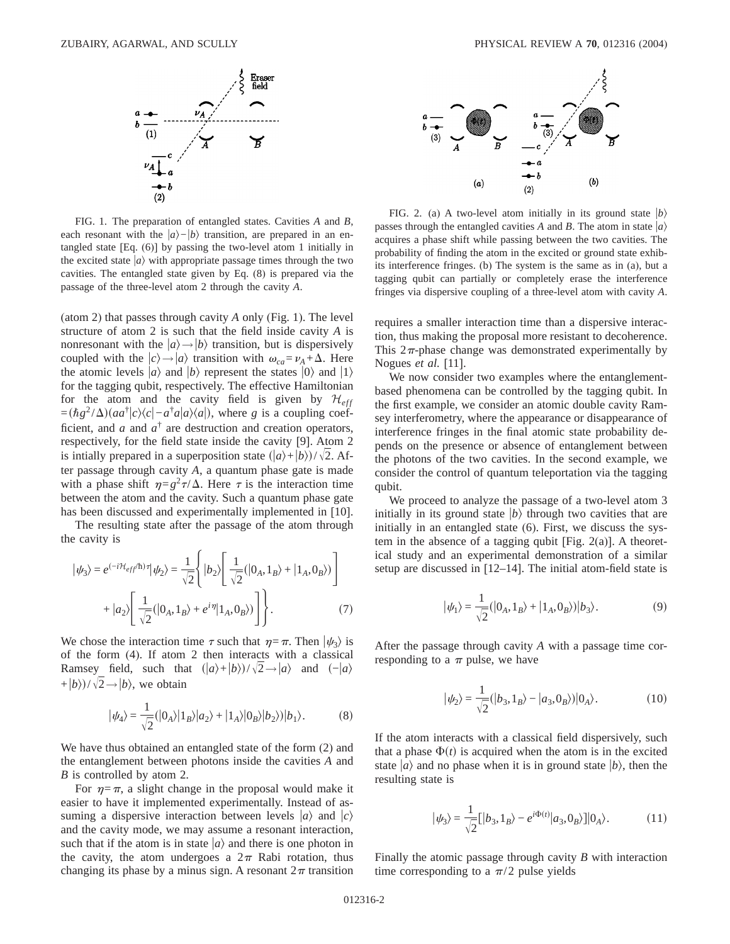

FIG. 1. The preparation of entangled states. Cavities *A* and *B*, each resonant with the  $|a\rangle-|b\rangle$  transition, are prepared in an entangled state [Eq. (6)] by passing the two-level atom 1 initially in the excited state  $|a\rangle$  with appropriate passage times through the two cavities. The entangled state given by Eq. (8) is prepared via the passage of the three-level atom 2 through the cavity *A*.

(atom 2) that passes through cavity *A* only (Fig. 1). The level structure of atom 2 is such that the field inside cavity *A* is nonresonant with the  $|a\rangle \rightarrow |b\rangle$  transition, but is dispersively coupled with the  $|c\rangle \rightarrow |a\rangle$  transition with  $\omega_{ca} = \nu_A + \Delta$ . Here the atomic levels  $|a\rangle$  and  $|b\rangle$  represent the states  $|0\rangle$  and  $|1\rangle$ for the tagging qubit, respectively. The effective Hamiltonian for the atom and the cavity field is given by  $\mathcal{H}_{eff}$  $=(\hbar g^2/\Delta)(aa^{\dagger}|c\rangle\langle c|-a^{\dagger}a|a\rangle\langle a|)$ , where *g* is a coupling coefficient, and *a* and  $a^{\dagger}$  are destruction and creation operators, respectively, for the field state inside the cavity [9]. Atom 2 is intially prepared in a superposition state  $(|a\rangle+|b\rangle)/\sqrt{2}$ . After passage through cavity *A*, a quantum phase gate is made with a phase shift  $\eta = g^2 \tau / \Delta$ . Here  $\tau$  is the interaction time between the atom and the cavity. Such a quantum phase gate has been discussed and experimentally implemented in [10].

The resulting state after the passage of the atom through the cavity is

$$
|\psi_3\rangle = e^{(-i\mathcal{H}_{eff}/\hbar)\tau} |\psi_2\rangle = \frac{1}{\sqrt{2}} \left\{ |b_2\rangle \left[ \frac{1}{\sqrt{2}} (|0_A, 1_B\rangle + |1_A, 0_B\rangle) \right] + |a_2\rangle \left[ \frac{1}{\sqrt{2}} (|0_A, 1_B\rangle + e^{i\eta} |1_A, 0_B\rangle) \right] \right\}.
$$
 (7)

We chose the interaction time  $\tau$  such that  $\eta=\pi$ . Then  $|\psi_{3}\rangle$  is of the form (4). If atom 2 then interacts with a classical Ramsey field, such that  $(|a\rangle+|b\rangle)/\sqrt{2} \rightarrow |a\rangle$  and  $(-|a\rangle)$ + $|b\rangle$ )/ $\sqrt{2} \rightarrow |b\rangle$ , we obtain

$$
|\psi_4\rangle = \frac{1}{\sqrt{2}} (|0_A\rangle |1_B\rangle |a_2\rangle + |1_A\rangle |0_B\rangle |b_2\rangle)|b_1\rangle.
$$
 (8)

We have thus obtained an entangled state of the form (2) and the entanglement between photons inside the cavities *A* and *B* is controlled by atom 2.

For  $\eta = \pi$ , a slight change in the proposal would make it easier to have it implemented experimentally. Instead of assuming a dispersive interaction between levels  $|a\rangle$  and  $|c\rangle$ and the cavity mode, we may assume a resonant interaction, such that if the atom is in state  $|a\rangle$  and there is one photon in the cavity, the atom undergoes a  $2\pi$  Rabi rotation, thus changing its phase by a minus sign. A resonant  $2\pi$  transition



FIG. 2. (a) A two-level atom initially in its ground state  $|b\rangle$ passes through the entangled cavities *A* and *B*. The atom in state  $|a\rangle$ acquires a phase shift while passing between the two cavities. The probability of finding the atom in the excited or ground state exhibits interference fringes. (b) The system is the same as in (a), but a tagging qubit can partially or completely erase the interference fringes via dispersive coupling of a three-level atom with cavity *A*.

requires a smaller interaction time than a dispersive interaction, thus making the proposal more resistant to decoherence. This  $2\pi$ -phase change was demonstrated experimentally by Nogues *et al.* [11].

We now consider two examples where the entanglementbased phenomena can be controlled by the tagging qubit. In the first example, we consider an atomic double cavity Ramsey interferometry, where the appearance or disappearance of interference fringes in the final atomic state probability depends on the presence or absence of entanglement between the photons of the two cavities. In the second example, we consider the control of quantum teleportation via the tagging qubit.

We proceed to analyze the passage of a two-level atom 3 initially in its ground state  $|b\rangle$  through two cavities that are initially in an entangled state (6). First, we discuss the system in the absence of a tagging qubit [Fig. 2(a)]. A theoretical study and an experimental demonstration of a similar setup are discussed in [12–14]. The initial atom-field state is

$$
|\psi_1\rangle = \frac{1}{\sqrt{2}} (|0_A, 1_B\rangle + |1_A, 0_B\rangle)|b_3\rangle.
$$
 (9)

After the passage through cavity *A* with a passage time corresponding to a  $\pi$  pulse, we have

$$
|\psi_2\rangle = \frac{1}{\sqrt{2}}(|b_3, 1_B\rangle - |a_3, 0_B\rangle)|0_A\rangle.
$$
 (10)

If the atom interacts with a classical field dispersively, such that a phase  $\Phi(t)$  is acquired when the atom is in the excited state  $|a\rangle$  and no phase when it is in ground state  $|b\rangle$ , then the resulting state is

$$
|\psi_3\rangle = \frac{1}{\sqrt{2}}[|b_3, 1_B\rangle - e^{i\Phi(t)}|a_3, 0_B\rangle]|0_A\rangle.
$$
 (11)

Finally the atomic passage through cavity *B* with interaction time corresponding to a  $\pi/2$  pulse yields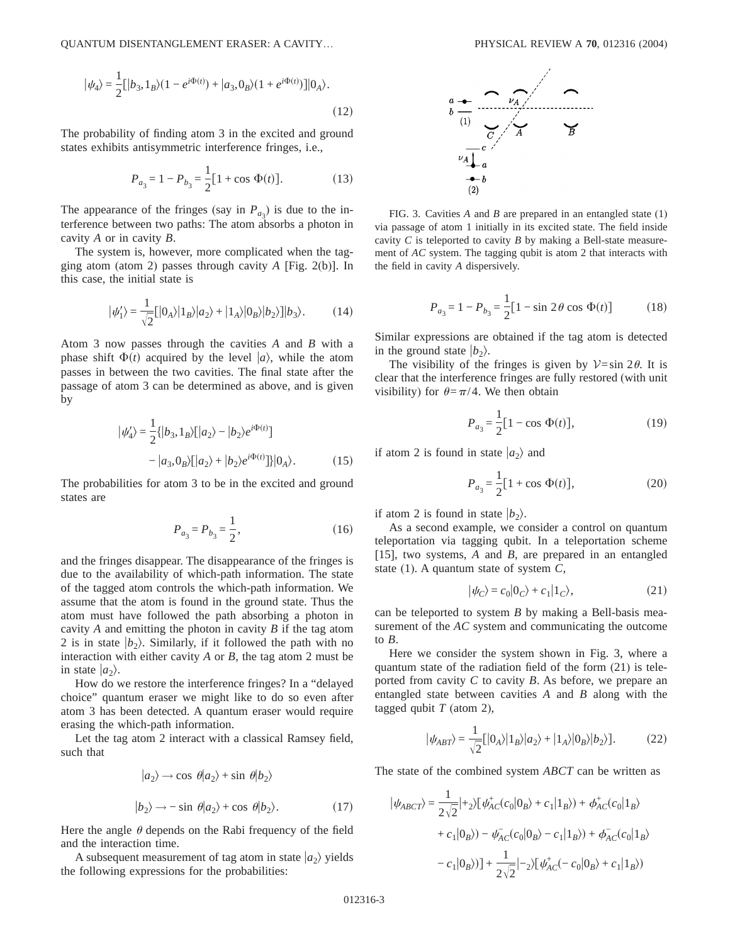$$
|\psi_4\rangle = \frac{1}{2} [ |b_3, 1_B\rangle (1 - e^{i\Phi(t)}) + |a_3, 0_B\rangle (1 + e^{i\Phi(t)})] |0_A\rangle.
$$
\n(12)

The probability of finding atom 3 in the excited and ground states exhibits antisymmetric interference fringes, i.e.,

$$
P_{a_3} = 1 - P_{b_3} = \frac{1}{2} [1 + \cos \Phi(t)].
$$
 (13)

The appearance of the fringes (say in  $P_{a_3}$ ) is due to the interference between two paths: The atom absorbs a photon in cavity *A* or in cavity *B*.

The system is, however, more complicated when the tagging atom (atom 2) passes through cavity *A* [Fig. 2(b)]. In this case, the initial state is

$$
|\psi_1'\rangle = \frac{1}{\sqrt{2}}[|0_A\rangle|1_B\rangle|a_2\rangle + |1_A\rangle|0_B\rangle|b_2\rangle]|b_3\rangle. \tag{14}
$$

Atom 3 now passes through the cavities *A* and *B* with a phase shift  $\Phi(t)$  acquired by the level  $|a\rangle$ , while the atom passes in between the two cavities. The final state after the passage of atom 3 can be determined as above, and is given by

$$
|\psi_4'\rangle = \frac{1}{2} \{ |b_3, 1_B\rangle [ |a_2\rangle - |b_2\rangle e^{i\Phi(t)} ]
$$

$$
- |a_3, 0_B\rangle [ |a_2\rangle + |b_2\rangle e^{i\Phi(t)} ] \} |0_A\rangle. \tag{15}
$$

The probabilities for atom 3 to be in the excited and ground states are

$$
P_{a_3} = P_{b_3} = \frac{1}{2},\tag{16}
$$

and the fringes disappear. The disappearance of the fringes is due to the availability of which-path information. The state of the tagged atom controls the which-path information. We assume that the atom is found in the ground state. Thus the atom must have followed the path absorbing a photon in cavity *A* and emitting the photon in cavity *B* if the tag atom 2 is in state  $|b_2\rangle$ . Similarly, if it followed the path with no interaction with either cavity *A* or *B*, the tag atom 2 must be in state  $|a_2\rangle$ .

How do we restore the interference fringes? In a "delayed choice" quantum eraser we might like to do so even after atom 3 has been detected. A quantum eraser would require erasing the which-path information.

Let the tag atom 2 interact with a classical Ramsey field, such that

$$
|a_2\rangle \rightarrow \cos \theta |a_2\rangle + \sin \theta |b_2\rangle
$$
  

$$
|b_2\rangle \rightarrow -\sin \theta |a_2\rangle + \cos \theta |b_2\rangle.
$$
 (17)

Here the angle  $\theta$  depends on the Rabi frequency of the field and the interaction time.

A subsequent measurement of tag atom in state  $|a_2\rangle$  yields the following expressions for the probabilities:



FIG. 3. Cavities *A* and *B* are prepared in an entangled state (1) via passage of atom 1 initially in its excited state. The field inside cavity *C* is teleported to cavity *B* by making a Bell-state measurement of *AC* system. The tagging qubit is atom 2 that interacts with the field in cavity *A* dispersively.

$$
P_{a_3} = 1 - P_{b_3} = \frac{1}{2} [1 - \sin 2\theta \cos \Phi(t)] \tag{18}
$$

Similar expressions are obtained if the tag atom is detected in the ground state  $|b_2\rangle$ .

The visibility of the fringes is given by  $\mathcal{V} = \sin 2\theta$ . It is clear that the interference fringes are fully restored (with unit visibility) for  $\theta = \pi/4$ . We then obtain

$$
P_{a_3} = \frac{1}{2} [1 - \cos \Phi(t)], \tag{19}
$$

if atom 2 is found in state  $|a_2\rangle$  and

$$
P_{a_3} = \frac{1}{2} [1 + \cos \Phi(t)], \qquad (20)
$$

if atom 2 is found in state  $|b_2\rangle$ .

As a second example, we consider a control on quantum teleportation via tagging qubit. In a teleportation scheme [15], two systems, *A* and *B*, are prepared in an entangled state (1). A quantum state of system *C*,

$$
|\psi_C\rangle = c_0|0_C\rangle + c_1|1_C\rangle, \tag{21}
$$

can be teleported to system *B* by making a Bell-basis measurement of the *AC* system and communicating the outcome to *B*.

Here we consider the system shown in Fig. 3, where a quantum state of the radiation field of the form (21) is teleported from cavity *C* to cavity *B*. As before, we prepare an entangled state between cavities *A* and *B* along with the tagged qubit *T* (atom 2),

$$
|\psi_{ABT}\rangle = \frac{1}{\sqrt{2}}[|0_A\rangle|1_B\rangle|a_2\rangle + |1_A\rangle|0_B\rangle|b_2\rangle].
$$
 (22)

The state of the combined system *ABCT* can be written as

$$
|\psi_{ABCT}\rangle = \frac{1}{2\sqrt{2}}|+_2\rangle [\psi_{AC}^+(c_0|0_B\rangle + c_1|1_B\rangle) + \phi_{AC}^+(c_0|1_B\rangle
$$
  
+  $c_1|0_B\rangle) - \psi_{AC}^-(c_0|0_B\rangle - c_1|1_B\rangle) + \phi_{AC}^-(c_0|1_B\rangle$   
-  $c_1|0_B\rangle)] + \frac{1}{2\sqrt{2}}|-_2\rangle [\psi_{AC}^+(c_0|0_B\rangle + c_1|1_B\rangle)$